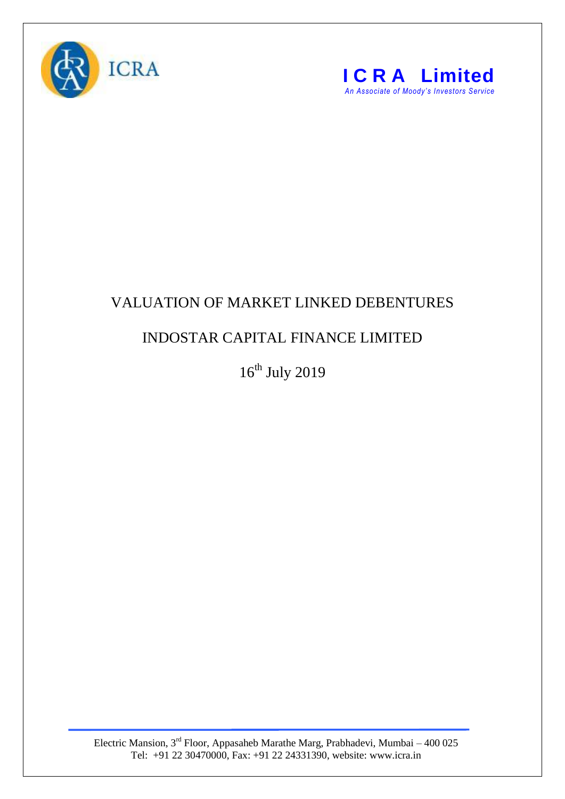



## VALUATION OF MARKET LINKED DEBENTURES

## INDOSTAR CAPITAL FINANCE LIMITED

 $16^{\text{th}}$  July 2019

Electric Mansion,  $3<sup>rd</sup>$  Floor, Appasaheb Marathe Marg, Prabhadevi, Mumbai – 400 025 Tel: +91 22 30470000, Fax: +91 22 24331390, website: www.icra.in